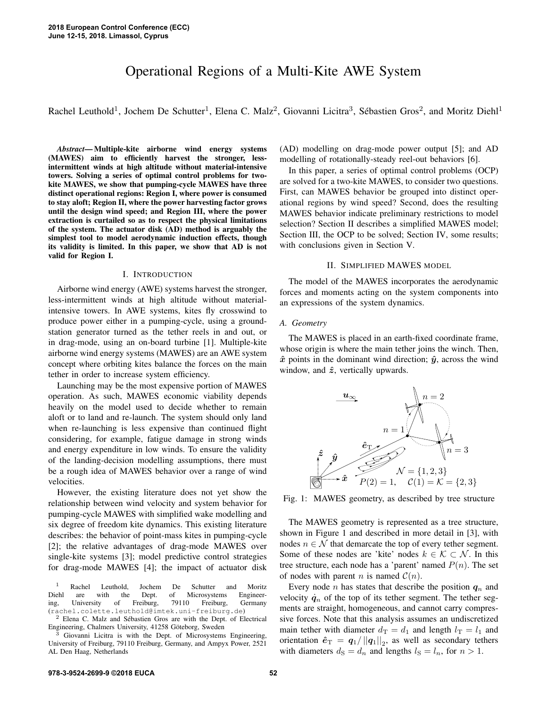# Operational Regions of a Multi-Kite AWE System

Rachel Leuthold<sup>1</sup>, Jochem De Schutter<sup>1</sup>, Elena C. Malz<sup>2</sup>, Giovanni Licitra<sup>3</sup>, Sébastien Gros<sup>2</sup>, and Moritz Diehl<sup>1</sup>

*Abstract*— Multiple-kite airborne wind energy systems (MAWES) aim to efficiently harvest the stronger, lessintermittent winds at high altitude without material-intensive towers. Solving a series of optimal control problems for twokite MAWES, we show that pumping-cycle MAWES have three distinct operational regions: Region I, where power is consumed to stay aloft; Region II, where the power harvesting factor grows until the design wind speed; and Region III, where the power extraction is curtailed so as to respect the physical limitations of the system. The actuator disk (AD) method is arguably the simplest tool to model aerodynamic induction effects, though its validity is limited. In this paper, we show that AD is not valid for Region I.

#### I. INTRODUCTION

Airborne wind energy (AWE) systems harvest the stronger, less-intermittent winds at high altitude without materialintensive towers. In AWE systems, kites fly crosswind to produce power either in a pumping-cycle, using a groundstation generator turned as the tether reels in and out, or in drag-mode, using an on-board turbine [1]. Multiple-kite airborne wind energy systems (MAWES) are an AWE system concept where orbiting kites balance the forces on the main tether in order to increase system efficiency.

Launching may be the most expensive portion of MAWES operation. As such, MAWES economic viability depends heavily on the model used to decide whether to remain aloft or to land and re-launch. The system should only land when re-launching is less expensive than continued flight considering, for example, fatigue damage in strong winds and energy expenditure in low winds. To ensure the validity of the landing-decision modelling assumptions, there must be a rough idea of MAWES behavior over a range of wind velocities.

However, the existing literature does not yet show the relationship between wind velocity and system behavior for pumping-cycle MAWES with simplified wake modelling and six degree of freedom kite dynamics. This existing literature describes: the behavior of point-mass kites in pumping-cycle [2]; the relative advantages of drag-mode MAWES over single-kite systems [3]; model predictive control strategies for drag-mode MAWES [4]; the impact of actuator disk

(AD) modelling on drag-mode power output [5]; and AD modelling of rotationally-steady reel-out behaviors [6].

In this paper, a series of optimal control problems (OCP) are solved for a two-kite MAWES, to consider two questions. First, can MAWES behavior be grouped into distinct operational regions by wind speed? Second, does the resulting MAWES behavior indicate preliminary restrictions to model selection? Section II describes a simplified MAWES model; Section III, the OCP to be solved; Section IV, some results; with conclusions given in Section V.

## II. SIMPLIFIED MAWES MODEL

The model of the MAWES incorporates the aerodynamic forces and moments acting on the system components into an expressions of the system dynamics.

# *A. Geometry*

The MAWES is placed in an earth-fixed coordinate frame, whose origin is where the main tether joins the winch. Then,  $\hat{x}$  points in the dominant wind direction;  $\hat{y}$ , across the wind window, and  $\hat{z}$ , vertically upwards.



Fig. 1: MAWES geometry, as described by tree structure

The MAWES geometry is represented as a tree structure, shown in Figure 1 and described in more detail in [3], with nodes  $n \in \mathcal{N}$  that demarcate the top of every tether segment. Some of these nodes are 'kite' nodes  $k \in \mathcal{K} \subset \mathcal{N}$ . In this tree structure, each node has a 'parent' named  $P(n)$ . The set of nodes with parent *n* is named  $C(n)$ .

Every node *n* has states that describe the position  $q_n$  and velocity  $\dot{q}_n$  of the top of its tether segment. The tether segments are straight, homogeneous, and cannot carry compressive forces. Note that this analysis assumes an undiscretized main tether with diameter  $d_{\text{T}} = d_1$  and length  $l_{\text{T}} = l_1$  and orientation  $\hat{e}_{\text{T}} = q_1 / ||q_1||_2$ , as well as secondary tethers with diameters  $d_S = d_n$  and lengths  $l_S = l_n$ , for  $n > 1$ .

<sup>&</sup>lt;sup>1</sup> Rachel Leuthold, Jochem De Schutter and Moritz<br>Diehl are with the Dept. of Microsystems Engineerare with the Dept. of Microsystems Engineering, University of Freiburg, 79110 Freiburg, Germany (rachel.colette.leuthold@imtek.uni-freiburg.de)

<sup>2</sup> Elena C. Malz and Sebastien Gros are with the Dept. of Electrical ´ Engineering, Chalmers University, 41258 Göteborg, Sweden

 $3$  Giovanni Licitra is with the Dept. of Microsystems Engineering, University of Freiburg, 79110 Freiburg, Germany, and Ampyx Power, 2521 AL Den Haag, Netherlands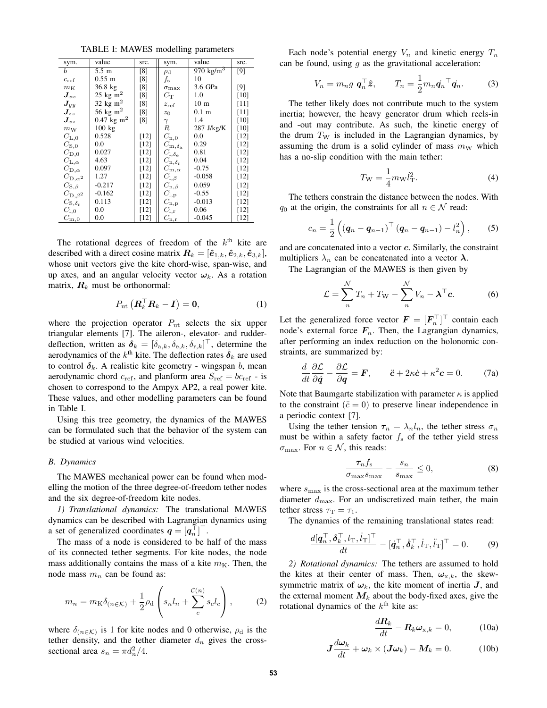TABLE I: MAWES modelling parameters

| sym.                      | value                         | src.   | sym.                               | value               | src.   |
|---------------------------|-------------------------------|--------|------------------------------------|---------------------|--------|
|                           |                               |        |                                    |                     |        |
| b                         | $5.5 \text{ m}$               | [8]    | $\rho_{\rm d}$                     | 970 $\text{kg/m}^3$ | [9]    |
| $c_{\text{ref}}$          | $0.55 \; \mathrm{m}$          | [8]    | $f_{\rm s}$                        | 10                  |        |
| $m_{\rm K}$               | $36.8$ kg                     | [8]    | $\sigma_{\rm max}$                 | 3.6 GPa             | [9]    |
| $\pmb{J}_{xx}$            | $25 \text{ kg} \text{ m}^2$   | [8]    | $C_{\rm T}$                        | 1.0                 | [10]   |
| $\pmb{J}_{yy}$            | 32 kg m <sup>2</sup>          | [8]    | $z_{\text{ref}}$                   | 10 <sub>m</sub>     | $[11]$ |
| $\mathbf{J}_{zz}$         | 56 kg m <sup>2</sup>          | [8]    | $z_0$                              | $0.1 \text{ m}$     | [11]   |
| $\mathbf{J}_{xz}$         | $0.47 \text{ kg} \text{ m}^2$ | [8]    | $\gamma$                           | 1.4                 | $[10]$ |
| $m_{\rm W}$               | $100 \text{ kg}$              |        | R                                  | 287 J/kg/K          | [10]   |
| $C_{\rm L,0}$             | 0.528                         | $[12]$ | $C_{\rm n,0}$                      | 0.0                 | [12]   |
| $C_{\rm S,0}$             | 0.0                           | $[12]$ | $C_{\rm m, \delta_a}$              | 0.29                | [12]   |
| $C_{\mathrm{D},0}$        | 0.027                         | $[12]$ | $C_{\rm l, \delta_e}$              | 0.81                | [12]   |
| $C_{\mathrm{L},\alpha}$   | 4.63                          | [12]   | $C_{\mathrm{n},\delta_\mathrm{r}}$ | 0.04                | $[12]$ |
| $C_{\mathrm{D},\alpha}$   | 0.097                         | [12]   | $C_{\rm m,\alpha}$                 | $-0.75$             | [12]   |
| $C_{\mathrm{D},\alpha^2}$ | 1.27                          | $[12]$ | $C_{\mathrm{l},\beta}$             | $-0.058$            | [12]   |
| $C_{\mathrm{S},\beta}$    | $-0.217$                      | [12]   | $C_{\mathrm{n},\beta}$             | 0.059               | [12]   |
| $C_{\mathrm{D},\beta^2}$  | $-0.162$                      | [12]   | $C_{\rm l,p}$                      | $-0.55$             | [12]   |
| $C_{\rm S,\delta_r}$      | 0.113                         | [12]   | $C_{\rm n,p}$                      | $-0.013$            | [12]   |
| $C_{1,0}$                 | 0.0                           | $[12]$ | $C_{\rm l,r}$                      | 0.06                | $[12]$ |
| $C_{\rm m,0}$             | $_{0.0}$                      | $[12]$ | $C_{\rm n,\underline{r}}$          | $-0.045$            | $[12]$ |

The rotational degrees of freedom of the  $k<sup>th</sup>$  kite are described with a direct cosine matrix  $\mathbf{R}_k = [\hat{\mathbf{e}}_{1,k}, \hat{\mathbf{e}}_{2,k}, \hat{\mathbf{e}}_{3,k}],$ whose unit vectors give the kite chord-wise, span-wise, and up axes, and an angular velocity vector  $\omega_k$ . As a rotation matrix,  $\mathbf{R}_k$  must be orthonormal:

$$
P_{\mathrm{ut}}\left(\boldsymbol{R}_{k}^{\top}\boldsymbol{R}_{k}-\boldsymbol{I}\right)=\boldsymbol{0},\tag{1}
$$

where the projection operator  $P_{\rm ut}$  selects the six upper triangular elements [7]. The aileron-, elevator- and rudderdeflection, written as  $\boldsymbol{\delta}_k = [\delta_{{\rm a},k}, \delta_{{\rm e},k}, \delta_{{\rm r},k}]^\top$ , determine the aerodynamics of the  $k^{\text{th}}$  kite. The deflection rates  $\dot{\boldsymbol{\delta}}_k$  are used to control  $\delta_k$ . A realistic kite geometry - wingspan b, mean aerodynamic chord  $c_{ref}$ , and planform area  $S_{ref} = bc_{ref}$  - is chosen to correspond to the Ampyx AP2, a real power kite. These values, and other modelling parameters can be found in Table I.

Using this tree geometry, the dynamics of the MAWES can be formulated such that the behavior of the system can be studied at various wind velocities.

## *B. Dynamics*

The MAWES mechanical power can be found when modelling the motion of the three degree-of-freedom tether nodes and the six degree-of-freedom kite nodes.

*1) Translational dynamics:* The translational MAWES dynamics can be described with Lagrangian dynamics using a set of generalized coordinates  $q = [q_n^\top]^\top$ .

The mass of a node is considered to be half of the mass of its connected tether segments. For kite nodes, the node mass additionally contains the mass of a kite  $m<sub>K</sub>$ . Then, the node mass  $m_n$  can be found as:

$$
m_n = m_{\mathcal{K}} \delta_{(n \in \mathcal{K})} + \frac{1}{2} \rho_{\mathcal{d}} \left( s_n l_n + \sum_{c}^{c(n)} s_c l_c \right), \tag{2}
$$

where  $\delta_{(n \in \mathcal{K})}$  is 1 for kite nodes and 0 otherwise,  $\rho_d$  is the tether density, and the tether diameter  $d_n$  gives the crosssectional area  $s_n = \pi d_n^2/4$ .

Each node's potential energy  $V_n$  and kinetic energy  $T_n$ can be found, using  $g$  as the gravitational acceleration:

$$
V_n = m_n g \, \mathbf{q}_n^\top \hat{\mathbf{z}}, \qquad T_n = \frac{1}{2} m_n \dot{\mathbf{q}}_n^\top \dot{\mathbf{q}}_n. \tag{3}
$$

The tether likely does not contribute much to the system inertia; however, the heavy generator drum which reels-in and -out may contribute. As such, the kinetic energy of the drum  $T_W$  is included in the Lagrangian dynamics, by assuming the drum is a solid cylinder of mass  $m_W$  which has a no-slip condition with the main tether:

$$
T_{\rm W} = \frac{1}{4} m_{\rm W} l_{\rm T}^2.
$$
 (4)

The tethers constrain the distance between the nodes. With  $q_0$  at the origin, the constraints for all  $n \in \mathcal{N}$  read:

$$
c_n = \frac{1}{2} \left( \left( \boldsymbol{q}_n - \boldsymbol{q}_{n-1} \right)^\top \left( \boldsymbol{q}_n - \boldsymbol{q}_{n-1} \right) - l_n^2 \right), \qquad (5)
$$

and are concatenated into a vector c. Similarly, the constraint multipliers  $\lambda_n$  can be concatenated into a vector  $\lambda$ .

The Lagrangian of the MAWES is then given by

$$
\mathcal{L} = \sum_{n}^{N} T_n + T_{\mathbf{W}} - \sum_{n}^{N} V_n - \boldsymbol{\lambda}^{\top} \mathbf{c}.
$$
 (6)

Let the generalized force vector  $\mathbf{F} = [\mathbf{F}_n^\top]^\top$  contain each node's external force  $F_n$ . Then, the Lagrangian dynamics, after performing an index reduction on the holonomic constraints, are summarized by:

$$
\frac{d}{dt}\frac{\partial \mathcal{L}}{\partial \dot{q}} - \frac{\partial \mathcal{L}}{\partial q} = \boldsymbol{F}, \qquad \ddot{c} + 2\kappa \dot{c} + \kappa^2 c = 0. \tag{7a}
$$

Note that Baumgarte stabilization with parameter  $\kappa$  is applied to the constraint  $(\ddot{c} = 0)$  to preserve linear independence in a periodic context [7].

Using the tether tension  $\tau_n = \lambda_n l_n$ , the tether stress  $\sigma_n$ must be within a safety factor  $f_s$  of the tether yield stress  $\sigma_{\text{max}}$ . For  $n \in \mathcal{N}$ , this reads:

$$
\frac{\tau_n f_s}{\sigma_{\text{max}} s_{\text{max}}} - \frac{s_n}{s_{\text{max}}} \le 0,\tag{8}
$$

where  $s_{\text{max}}$  is the cross-sectional area at the maximum tether diameter  $d_{\text{max}}$ . For an undiscretized main tether, the main tether stress  $\tau_{\rm T} = \tau_1$ .

The dynamics of the remaining translational states read:

$$
\frac{d[\mathbf{q}_n^\top, \boldsymbol{\delta}_k^\top, l_\mathrm{T}, \dot{l}_\mathrm{T}]^\top}{dt} - [\dot{\mathbf{q}}_n^\top, \dot{\boldsymbol{\delta}}_k^\top, \dot{l}_\mathrm{T}, \ddot{l}_\mathrm{T}]^\top = 0. \tag{9}
$$

*2) Rotational dynamics:* The tethers are assumed to hold the kites at their center of mass. Then,  $\omega_{x,k}$ , the skewsymmetric matrix of  $\omega_k$ , the kite moment of inertia  $J$ , and the external moment  $M_k$  about the body-fixed axes, give the rotational dynamics of the  $k<sup>th</sup>$  kite as:

$$
\frac{d\mathbf{R}_k}{dt} - \mathbf{R}_k \boldsymbol{\omega}_{\mathbf{x},k} = 0, \quad (10a)
$$

$$
J\frac{d\omega_k}{dt} + \omega_k \times (J\omega_k) - M_k = 0.
$$
 (10b)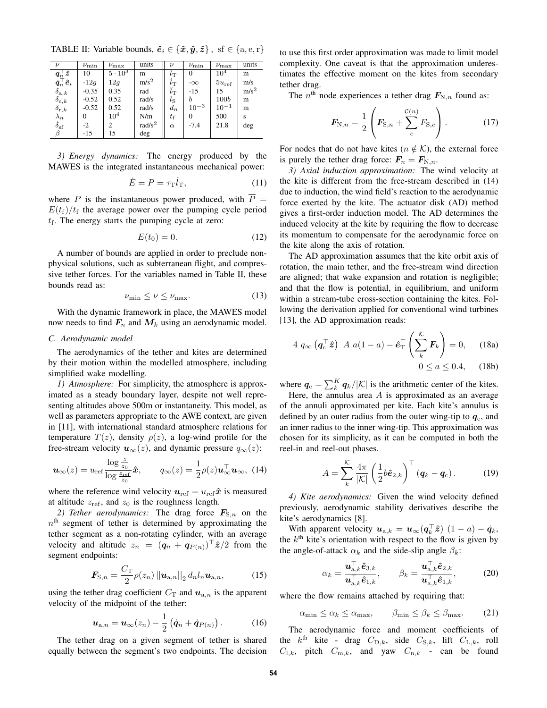TABLE II: Variable bounds,  $\hat{e}_i \in \{\hat{x}, \hat{y}, \hat{z}\}, \text{sf } \in \{\text{a}, \text{e}, \text{r}\}\$ 

| $\nu$                                                                  | $\nu_{\rm min}$ | $\nu_{\text{max}}$ | units              |                 | $\nu_{\rm min}$ | $\nu_{\text{max}}$ | units   |
|------------------------------------------------------------------------|-----------------|--------------------|--------------------|-----------------|-----------------|--------------------|---------|
| $\frac{\bm{q}_n^\top\bm{\hat{z}}}{\ddot{\bm{q}}_n^\top\hat{\bm{e}}_i}$ | 10              | $5 \cdot 10^3$     | m                  | $l_{\rm T}$     | 0               | $10^4$             | m       |
|                                                                        | $-12q$          | 12q                | m/s <sup>2</sup>   | $\iota_{\rm T}$ | $-\infty$       | $5u_{\text{ref}}$  | m/s     |
| $\delta_{{\rm a},k} \delta_{{\rm e},k}$                                | $-0.35$         | 0.35               | rad                | $l_{\rm T}$     | $-15$           | 15                 | $m/s^2$ |
|                                                                        | $-0.52$         | 0.52               | rad/s              | $l_{\rm S}$     | b               | <b>100b</b>        | m       |
| $\delta_{\mathrm{r},k}$                                                | $-0.52$         | 0.52               | rad/s              | $d_n$           | $10^{-3}$       | $10^{-1}$          | m       |
| $\lambda_n$                                                            | $_{0}$          | $10^4$             | N/m                | $t_{\rm f}$     | 0               | 500                | S       |
| $\dot{\delta}_{\rm sf}$                                                | $-2$            | 2                  | rad/s <sup>2</sup> | $\alpha$        | $-7.4$          | 21.8               | deg     |
| β                                                                      | $-15$           | 15                 | $\deg$             |                 |                 |                    |         |

*3) Energy dynamics:* The energy produced by the MAWES is the integrated instantaneous mechanical power:

$$
\dot{E} = P = \tau_{\rm T} \dot{l}_{\rm T},\tag{11}
$$

where P is the instantaneous power produced, with  $\overline{P}$  =  $E(t_f)/t_f$  the average power over the pumping cycle period  $t_f$ . The energy starts the pumping cycle at zero:

$$
E(t_0) = 0.\t(12)
$$

A number of bounds are applied in order to preclude nonphysical solutions, such as subterranean flight, and compressive tether forces. For the variables named in Table II, these bounds read as:

$$
\nu_{\min} \le \nu \le \nu_{\max}.\tag{13}
$$

With the dynamic framework in place, the MAWES model now needs to find  $F_n$  and  $M_k$  using an aerodynamic model.

# *C. Aerodynamic model*

The aerodynamics of the tether and kites are determined by their motion within the modelled atmosphere, including simplified wake modelling.

*1) Atmosphere:* For simplicity, the atmosphere is approximated as a steady boundary layer, despite not well representing altitudes above 500m or instantaneity. This model, as well as parameters appropriate to the AWE context, are given in [11], with international standard atmosphere relations for temperature  $T(z)$ , density  $\rho(z)$ , a log-wind profile for the free-stream velocity  $u_{\infty}(z)$ , and dynamic pressure  $q_{\infty}(z)$ :

$$
\boldsymbol{u}_{\infty}(z) = u_{\text{ref}} \frac{\log \frac{z}{z_0}}{\log \frac{z_{\text{ref}}}{z_0}} \hat{\boldsymbol{x}}, \qquad q_{\infty}(z) = \frac{1}{2} \rho(z) \boldsymbol{u}_{\infty}^{\top} \boldsymbol{u}_{\infty}, \tag{14}
$$

where the reference wind velocity  $u_{ref} = u_{ref} \hat{x}$  is measured at altitude  $z_{ref}$ , and  $z_0$  is the roughness length.

2) Tether aerodynamics: The drag force  $F_{S,n}$  on the  $n<sup>th</sup>$  segment of tether is determined by approximating the tether segment as a non-rotating cylinder, with an average velocity and altitude  $z_n = (q_n + q_{P(n)})^\top \hat{z}/2$  from the segment endpoints:

$$
\boldsymbol{F}_{\text{S},n} = \frac{C_{\text{T}}}{2} \rho(z_n) ||\boldsymbol{u}_{\text{a},n}||_2 d_n l_n \boldsymbol{u}_{\text{a},n},
$$
(15)

using the tether drag coefficient  $C_T$  and  $u_{a,n}$  is the apparent velocity of the midpoint of the tether:

$$
\boldsymbol{u}_{\mathrm{a},n} = \boldsymbol{u}_{\infty}(z_n) - \frac{1}{2} \left( \dot{\boldsymbol{q}}_n + \dot{\boldsymbol{q}}_{P(n)} \right). \tag{16}
$$

The tether drag on a given segment of tether is shared equally between the segment's two endpoints. The decision to use this first order approximation was made to limit model complexity. One caveat is that the approximation underestimates the effective moment on the kites from secondary tether drag.

The  $n^{\text{th}}$  node experiences a tether drag  $F_{N,n}$  found as:

$$
F_{N,n} = \frac{1}{2} \left( F_{S,n} + \sum_{c}^{C(n)} F_{S,c} \right).
$$
 (17)

For nodes that do not have kites ( $n \notin \mathcal{K}$ ), the external force is purely the tether drag force:  $F_n = F_{N,n}$ .

*3) Axial induction approximation:* The wind velocity at the kite is different from the free-stream described in (14) due to induction, the wind field's reaction to the aerodynamic force exerted by the kite. The actuator disk (AD) method gives a first-order induction model. The AD determines the induced velocity at the kite by requiring the flow to decrease its momentum to compensate for the aerodynamic force on the kite along the axis of rotation.

The AD approximation assumes that the kite orbit axis of rotation, the main tether, and the free-stream wind direction are aligned; that wake expansion and rotation is negligible; and that the flow is potential, in equilibrium, and uniform within a stream-tube cross-section containing the kites. Following the derivation applied for conventional wind turbines [13], the AD approximation reads:

$$
4 q_{\infty} \left( \boldsymbol{q}_{\mathrm{c}}^{\top} \hat{\boldsymbol{z}} \right) A a (1 - a) - \hat{\boldsymbol{e}}_{\mathrm{T}}^{\top} \left( \sum_{k}^{K} \boldsymbol{F}_{k} \right) = 0, \quad (18a)
$$

$$
0 \le a \le 0.4, \quad (18b)
$$

where  $q_c = \sum_{k=1}^{K} q_k / |\mathcal{K}|$  is the arithmetic center of the kites.

Here, the annulus area  $A$  is approximated as an average of the annuli approximated per kite. Each kite's annulus is defined by an outer radius from the outer wing-tip to  $q_c$ , and an inner radius to the inner wing-tip. This approximation was chosen for its simplicity, as it can be computed in both the reel-in and reel-out phases.

$$
A = \sum_{k}^{\mathcal{K}} \frac{4\pi}{|\mathcal{K}|} \left(\frac{1}{2}b\hat{\boldsymbol{e}}_{2,k}\right)^{\top} (\boldsymbol{q}_k - \boldsymbol{q}_c). \tag{19}
$$

*4) Kite aerodynamics:* Given the wind velocity defined previously, aerodynamic stability derivatives describe the kite's aerodynamics [8].

With apparent velocity  $u_{a,k} = u_{\infty}(q_k^{\top} \hat{z})$   $(1 - a) - \dot{q}_k$ , the  $k<sup>th</sup>$  kite's orientation with respect to the flow is given by the angle-of-attack  $\alpha_k$  and the side-slip angle  $\beta_k$ :

$$
\alpha_k = \frac{\boldsymbol{u}_{\mathrm{a},k}^{\top} \hat{\boldsymbol{e}}_{3,k}}{\boldsymbol{u}_{\mathrm{a},k}^{\top} \hat{\boldsymbol{e}}_{1,k}}, \qquad \beta_k = \frac{\boldsymbol{u}_{\mathrm{a},k}^{\top} \hat{\boldsymbol{e}}_{2,k}}{\boldsymbol{u}_{\mathrm{a},k}^{\top} \hat{\boldsymbol{e}}_{1,k}}, \tag{20}
$$

where the flow remains attached by requiring that:

 $\alpha_{\min} \leq \alpha_k \leq \alpha_{\max}, \qquad \beta_{\min} \leq \beta_k \leq \beta_{\max}.$  (21)

The aerodynamic force and moment coefficients of the  $k^{\text{th}}$  kite - drag  $C_{\text{D},k}$ , side  $C_{\text{S},k}$ , lift  $C_{\text{L},k}$ , roll  $C_{1,k}$ , pitch  $C_{m,k}$ , and yaw  $C_{n,k}$  - can be found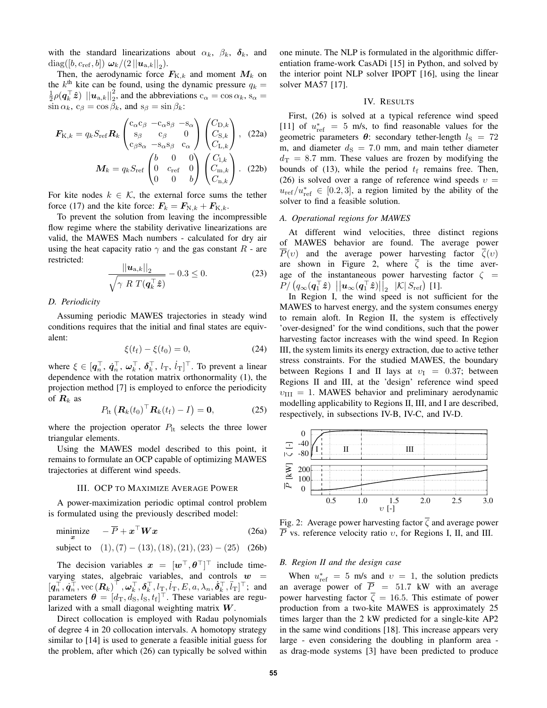with the standard linearizations about  $\alpha_k$ ,  $\beta_k$ ,  $\delta_k$ , and  $\mathrm{diag}([b,c_{\mathrm{ref}},b])\;\bm{\omega}_k/(2\,||\bm{u}_{\mathrm{a},k}||_2).$ 

Then, the aerodynamic force  $F_{K,k}$  and moment  $M_k$  on the  $k^{\text{th}}$  kite can be found, using the dynamic pressure  $q_k =$  $\frac{1}{2}\rho(\mathbf{q}_k^{\top}\hat{\mathbf{z}})$   $||\mathbf{u}_{\text{a},k}||_2^2$ , and the abbreviations  $c_{\alpha} = \cos \alpha_k$ ,  $s_{\alpha} =$  $\sin \alpha_k$ ,  $c_\beta = \cos \beta_k$ , and  $s_\beta = \sin \beta_k$ :

$$
\boldsymbol{F}_{K,k} = q_k S_{\text{ref}} \boldsymbol{R}_k \begin{pmatrix} c_{\alpha} c_{\beta} & -c_{\alpha} s_{\beta} & -s_{\alpha} \\ s_{\beta} & c_{\beta} & 0 \\ c_{\beta} s_{\alpha} & -s_{\alpha} s_{\beta} & c_{\alpha} \end{pmatrix} \begin{pmatrix} C_{\text{D},k} \\ C_{\text{S},k} \\ C_{\text{L},k} \end{pmatrix}, \quad (22a)
$$

$$
\boldsymbol{M}_k = q_k S_{\text{ref}} \begin{pmatrix} b & 0 & 0 \\ 0 & c_{\text{ref}} & 0 \\ 0 & 0 & b \end{pmatrix} \begin{pmatrix} C_{1,k} \\ C_{\text{m},k} \\ C_{\text{n},k} \end{pmatrix}. \quad (22b)
$$

For kite nodes  $k \in \mathcal{K}$ , the external force sums the tether force (17) and the kite force:  $\mathbf{F}_k = \mathbf{F}_{N,k} + \mathbf{F}_{K,k}$ .

To prevent the solution from leaving the incompressible flow regime where the stability derivative linearizations are valid, the MAWES Mach numbers - calculated for dry air using the heat capacity ratio  $\gamma$  and the gas constant  $R$  - are restricted:

$$
\frac{||\boldsymbol{u}_{\text{a},k}||_2}{\sqrt{\gamma \ R \ T(\boldsymbol{q}_k^{\top}\boldsymbol{\hat{z}})}} - 0.3 \le 0. \tag{23}
$$

#### *D. Periodicity*

Assuming periodic MAWES trajectories in steady wind conditions requires that the initial and final states are equivalent:

$$
\xi(t_{\rm f}) - \xi(t_0) = 0,\t(24)
$$

where  $\xi \in [q_n^\top, \dot{q}_n^\top, \omega_k^\top, \delta_k^\top, l_\text{T}, \dot{l}_\text{T}]^\top$ . To prevent a linear dependence with the rotation matrix orthonormality (1), the projection method [7] is employed to enforce the periodicity of  $\mathbf{R}_k$  as

$$
P_{\text{lt}}\left(\boldsymbol{R}_k(t_0)^\top \boldsymbol{R}_k(t_{\text{f}}) - I\right) = \mathbf{0},\tag{25}
$$

where the projection operator  $P_{1t}$  selects the three lower triangular elements.

Using the MAWES model described to this point, it remains to formulate an OCP capable of optimizing MAWES trajectories at different wind speeds.

#### III. OCP TO MAXIMIZE AVERAGE POWER

A power-maximization periodic optimal control problem is formulated using the previously described model:

$$
\underset{x}{\text{minimize}} \quad -\overline{P} + x^{\top} \boldsymbol{W} x \tag{26a}
$$

subject to 
$$
(1), (7) - (13), (18), (21), (23) - (25)
$$
 (26b)

The decision variables  $x = [w^\top, \theta^\top]^\top$  include timevarying states, algebraic variables, and controls  $w =$  $[q_n^{\top}, \dot{q}_n^{\top}, \text{vec}(\boldsymbol{R}_k)^\top, \boldsymbol{\omega}_k^\top, \boldsymbol{\delta}_k^\top, l_{\text{T}}, l_{\text{T}}, E, a, \lambda_n, \dot{\boldsymbol{\delta}}_k^\top, \ddot{l}_{\text{T}}]^\top;$  and parameters  $\boldsymbol{\theta} = [d_{\rm T}, d_{\rm S}, l_{\rm S}, t_{\rm f}]^{\top}$ . These variables are regularized with a small diagonal weighting matrix  $W$ .

Direct collocation is employed with Radau polynomials of degree 4 in 20 collocation intervals. A homotopy strategy similar to [14] is used to generate a feasible initial guess for the problem, after which (26) can typically be solved within one minute. The NLP is formulated in the algorithmic differentiation frame-work CasADi [15] in Python, and solved by the interior point NLP solver IPOPT [16], using the linear solver MA57 [17].

## IV. RESULTS

First, (26) is solved at a typical reference wind speed [11] of  $u_{\text{ref}}^* = 5$  m/s, to find reasonable values for the geometric parameters  $\theta$ : secondary tether-length  $l_s = 72$ m, and diameter  $d_S = 7.0$  mm, and main tether diameter  $d_T = 8.7$  mm. These values are frozen by modifying the bounds of (13), while the period  $t_f$  remains free. Then, (26) is solved over a range of reference wind speeds  $v =$  $u_{\text{ref}}/u_{\text{ref}}^* \in [0.2, 3]$ , a region limited by the ability of the solver to find a feasible solution.

#### *A. Operational regions for MAWES*

At different wind velocities, three distinct regions of MAWES behavior are found. The average power  $\overline{P}(v)$  and the average power harvesting factor  $\overline{\zeta}(v)$ are shown in Figure 2, where  $\overline{\zeta}$  is the time average of the instantaneous power harvesting factor  $\zeta$  =  $P/\left(q_\infty(q_1^\top\hat{\bm{z}})\bigsqcup|\bm{u}_\infty(q_1^\top\hat{\bm{z}})\bigsqcup_2\ \ |\mathcal{K}|\ S_\text{ref}\right)$  [1].

In Region I, the wind speed is not sufficient for the MAWES to harvest energy, and the system consumes energy to remain aloft. In Region II, the system is effectively 'over-designed' for the wind conditions, such that the power harvesting factor increases with the wind speed. In Region III, the system limits its energy extraction, due to active tether stress constraints. For the studied MAWES, the boundary between Regions I and II lays at  $v_I = 0.37$ ; between Regions II and III, at the 'design' reference wind speed  $v_{\text{III}} = 1$ . MAWES behavior and preliminary aerodynamic modelling applicability to Regions II, III, and I are described, respectively, in subsections IV-B, IV-C, and IV-D.



Fig. 2: Average power harvesting factor  $\overline{\zeta}$  and average power  $\overline{P}$  vs. reference velocity ratio v, for Regions I, II, and III.

# *B. Region II and the design case*

When  $u_{\text{ref}}^* = 5$  m/s and  $v = 1$ , the solution predicts an average power of  $\overline{P}$  = 51.7 kW with an average power harvesting factor  $\overline{\zeta} = 16.5$ . This estimate of power production from a two-kite MAWES is approximately 25 times larger than the 2 kW predicted for a single-kite AP2 in the same wind conditions [18]. This increase appears very large - even considering the doubling in planform area as drag-mode systems [3] have been predicted to produce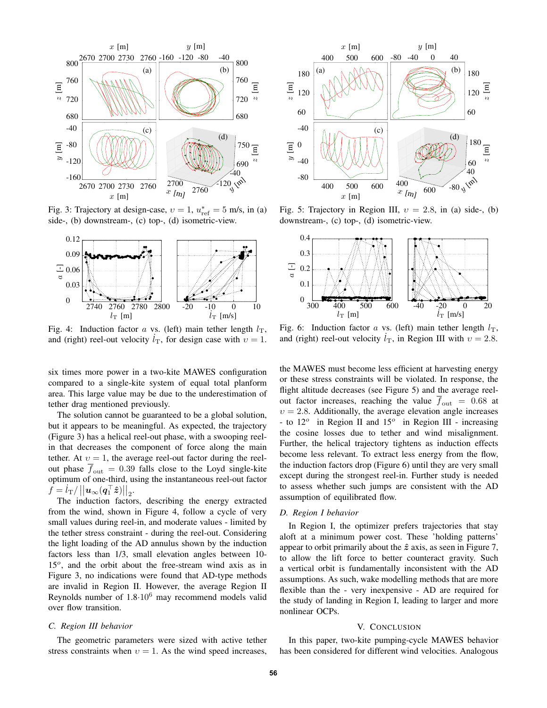

Fig. 3: Trajectory at design-case,  $v = 1$ ,  $u_{ref}^* = 5$  m/s, in (a) side-, (b) downstream-, (c) top-, (d) isometric-view.



Fig. 4: Induction factor a vs. (left) main tether length  $l_T$ , and (right) reel-out velocity  $l_{\rm T}$ , for design case with  $v = 1$ .

six times more power in a two-kite MAWES configuration compared to a single-kite system of equal total planform area. This large value may be due to the underestimation of tether drag mentioned previously.

The solution cannot be guaranteed to be a global solution, but it appears to be meaningful. As expected, the trajectory (Figure 3) has a helical reel-out phase, with a swooping reelin that decreases the component of force along the main tether. At  $v = 1$ , the average reel-out factor during the reelout phase  $\overline{f}_{\text{out}} = 0.39$  falls close to the Loyd single-kite optimum of one-third, using the instantaneous reel-out factor  $\begin{aligned} \hat{f} &= \hat{l}_\mathrm{T}/\left|\left|\bm{u}_\infty(\bm{q}_1^\top \bm{\hat{z}})\right|\right|_2. \end{aligned}$ 

The induction factors, describing the energy extracted from the wind, shown in Figure 4, follow a cycle of very small values during reel-in, and moderate values - limited by the tether stress constraint - during the reel-out. Considering the light loading of the AD annulus shown by the induction factors less than 1/3, small elevation angles between 10- 15<sup>o</sup>, and the orbit about the free-stream wind axis as in Figure 3, no indications were found that AD-type methods are invalid in Region II. However, the average Region II Reynolds number of  $1.8 \cdot 10^6$  may recommend models valid over flow transition.

## *C. Region III behavior*

The geometric parameters were sized with active tether stress constraints when  $v = 1$ . As the wind speed increases,



Fig. 5: Trajectory in Region III,  $v = 2.8$ , in (a) side-, (b) downstream-, (c) top-, (d) isometric-view.



Fig. 6: Induction factor a vs. (left) main tether length  $l_{\rm T}$ , and (right) reel-out velocity  $l<sub>T</sub>$ , in Region III with  $v = 2.8$ .

the MAWES must become less efficient at harvesting energy or these stress constraints will be violated. In response, the flight altitude decreases (see Figure 5) and the average reelout factor increases, reaching the value  $\overline{f}_{\text{out}} = 0.68$  at  $v = 2.8$ . Additionally, the average elevation angle increases - to  $12^{\circ}$  in Region II and  $15^{\circ}$  in Region III - increasing the cosine losses due to tether and wind misalignment. Further, the helical trajectory tightens as induction effects become less relevant. To extract less energy from the flow, the induction factors drop (Figure 6) until they are very small except during the strongest reel-in. Further study is needed to assess whether such jumps are consistent with the AD assumption of equilibrated flow.

#### *D. Region I behavior*

In Region I, the optimizer prefers trajectories that stay aloft at a minimum power cost. These 'holding patterns' appear to orbit primarily about the  $\hat{z}$  axis, as seen in Figure 7, to allow the lift force to better counteract gravity. Such a vertical orbit is fundamentally inconsistent with the AD assumptions. As such, wake modelling methods that are more flexible than the - very inexpensive - AD are required for the study of landing in Region I, leading to larger and more nonlinear OCPs.

#### V. CONCLUSION

In this paper, two-kite pumping-cycle MAWES behavior has been considered for different wind velocities. Analogous